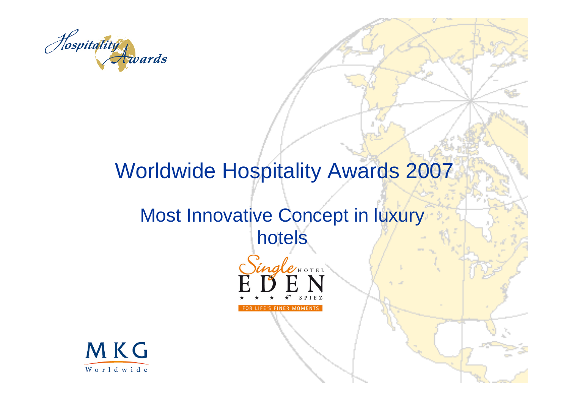

# Worldwide Hospitality Awards 2007

# Most Innovative Concept in luxury hotels



LIFE'S FINER MOMENTS

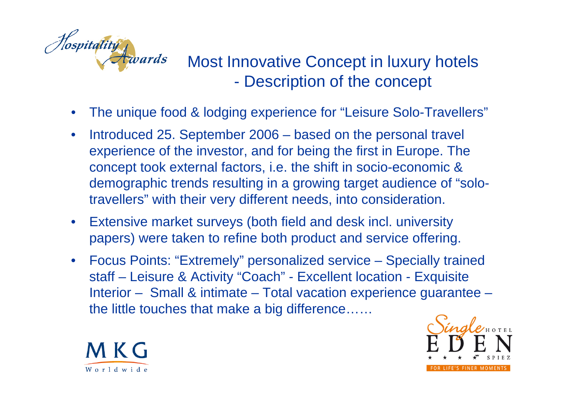

Most Innovative Concept in luxury hotels - Description of the concept

- The unique food & lodging experience for "Leisure Solo-Travellers"
- Introduced 25. September 2006 based on the personal travel experience of the investor, and for being the first in Europe. The concept took external factors, i.e. the shift in socio-economic & demographic trends resulting in a growing target audience of "solotravellers" with their very different needs, into consideration.
- Extensive market surveys (both field and desk incl. university papers) were taken to refine both product and service offering.
- Focus Points: "Extremely" personalized service Specially trained staff – Leisure & Activity "Coach" - Excellent location - Exquisite Interior – Small & intimate – Total vacation experience guarantee – the little touches that make a big difference……





LIFE'S FINER MOMENTS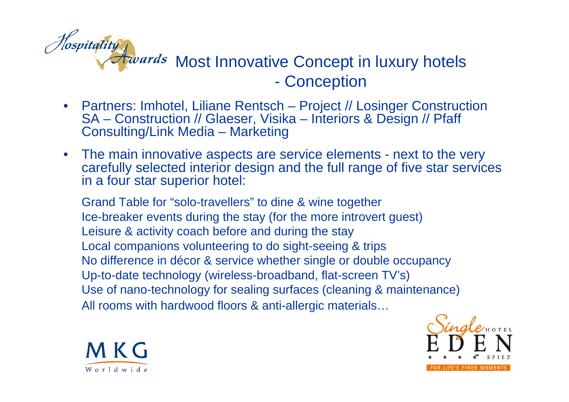# spitality twards Most Innovative Concept in luxury hotels - Conception

- Partners: Imhotel, Liliane Rentsch Project // Losinger Construction SA – Construction // Glaeser, Visika – Interiors & Design // Pfaff<br>Consulting/Link Media – Marketing
- The main innovative aspects are service elements next to the very carefully selected interior design and the full range of five star services in a four star superior hotel:

Grand Table for "solo-travellers" to dine & wine together Ice-breaker events during the stay (for the more introvert guest) Leisure & activity coach before and during the stay Local companions volunteering to do sight-seeing & trips No difference in décor & service whether single or double occupancy Up-to-date technology (wireless-broadband, flat-screen TV's) Use of nano-technology for sealing surfaces (cleaning & maintenance) All rooms with hardwood floors & anti-allergic materials…



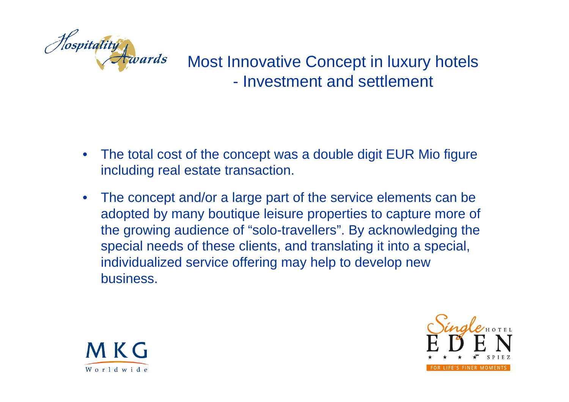

Most Innovative Concept in luxury hotels - Investment and settlement

- The total cost of the concept was a double digit EUR Mio figure including real estate transaction.
- The concept and/or a large part of the service elements can be adopted by many boutique leisure properties to capture more of the growing audience of "solo-travellers". By acknowledging the special needs of these clients, and translating it into a special, individualized service offering may help to develop new business.



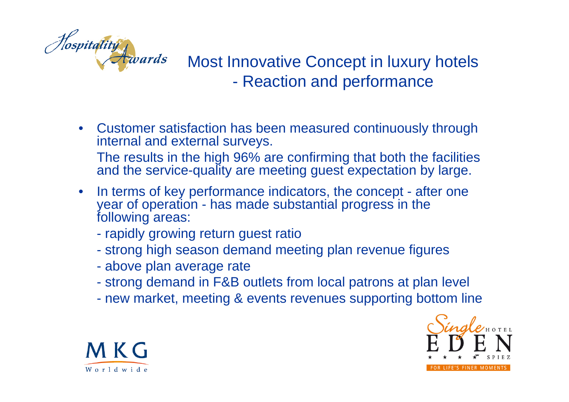

Most Innovative Concept in luxury hotels - Reaction and performance

- Customer satisfaction has been measured continuously through internal and external surveys. The results in the high 96% are confirming that both the facilities and the service-quality are meeting guest expectation by large.
- In terms of key performance indicators, the concept after one year of operation - has made substantial progress in the following areas:
	- rapidly growing return guest ratio
	- strong high season demand meeting plan revenue figures
	- above plan average rate
	- strong demand in F&B outlets from local patrons at plan level
	- new market, meeting & events revenues supporting bottom line



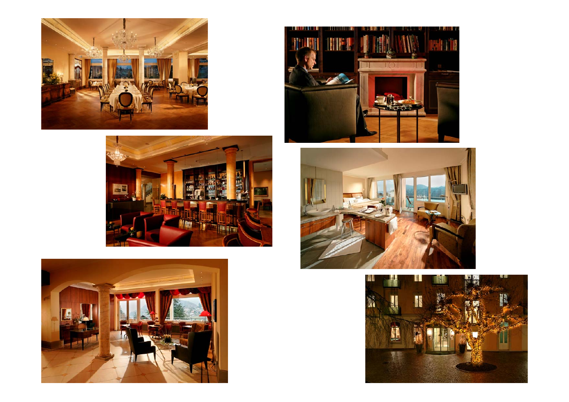









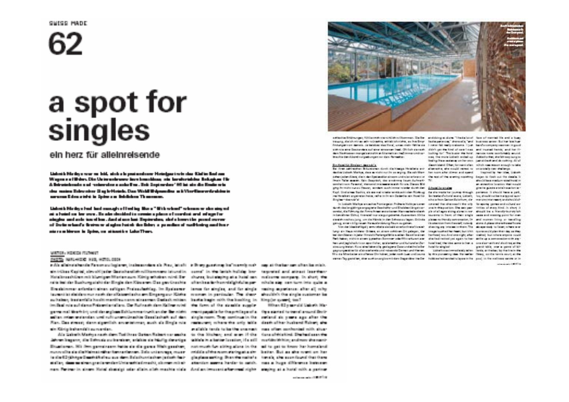# **GUIGS HADE**

# a spot for<br>singles

# ein herz für alleinreisende

Linkerth History a way on both adults in postmestrane Havingas teach also filmline lists asso Wagon and Wales. Die Universitesse investmentiese vie keraksisiske Antojom die A Britanic location and restauration a united from. Soit Good performance of this aim disc finalism to indes essies Saleszier 3 spieldeich. Das Wahl Wilpseudes in Kölneftiererfestelnere personal Education in Spierra in Belgislates Thomas and

Listenia Mariley a treat land manager of treating. Mor a "White school" schemes or also aimped. at a hatel on termen. To also devided to comic a class of conditional efforts for adaptes and solo taxed but Jani si and had figure show that a boom the power conof Decis relaxation theory or al agins hairds the Diday or parasition of such being and the rais combineza la Spino, un aissocion Labo Thom.

# **WATCH READERS** FOR

## PERTY NEWSFILM FOR HOTEL COM-

6 MacDritect Deads Presented by them, included a first that Pres, Into No. 16 Deep granting for Council, and Longo at Contact an adjustmentals. de Articus Sophisi, aleva Migrite Guata Marchives Illique euro introduits - a consilio teni de triu factio de la factio de la faction de la consideration de la consideration de la consideration de la consideration de la co Schützungständen in Klassings Wieder auss Klasse gehören wird. Der Teilware frei eineiten also keinfingen mehreren mengenen. Im den Singoldubuluk Badweyah Birlingin dan Kisarem Kaupat Staatin. Ini terbast di bastalap Kabupat Indonesia pemakan bebagai me Deutsterme unbefact deur untigen Polonabutdag. Im Springer- invan de niegte, and de niegte- vodep agentieren after all, whytecnolist deliberace curbule d'Alemia de me Dagog av Klaba - senare la pretissio. The drew - dredth's for deginerations for autoliers, territorialla kuulti manifestamane elisaaman üheladit mitten. Teada leegin mittu tien kuulting tin Tiimpijor quaami, tun 7 instituti väraval dansa Polametianistises. Der Rafinantistises Kallege vahel - Ver Gams al- Ver algemäße avantier stress and that's bit would be mainted in Eighteen prince it and the middle. In productable for the information of a 1 September 2014 of a state of a result of the first inwith a refuse methodics well-solic assession this finalization is advised in the face of the manifestation in the contrast atto process age with a time Sies Dau demoti diese algemänis amerinteras, avais ala Begia min - mainvaret, minerativa vely initia - dents altere ivaluentifiainet; atm ale Kiirigikakandali suomettiin.

Als Schultzblatten und dem Teiliten Getterflaten und gehen im Gentlichen und und die Eine Genetität ihn Springlausster Adventing over the Debrada authorities, unklike die Madig deursige - Adde's bustante baselies, in still - washing binding and was the sunt-Einwilseren. Wir ihrer geneintenen heite ein gezen Weitigereihne, weiterweihnber eithegenlage in der mei in getrie Reservieren auf der Entwicklung svas dinnindis Helendeline kreaudnama Johnains appearer – etdökuð forsama rintgaðurðu. Jordan Johna varðum har in die 52 gestyn Soudständer von dem Brittischen in dem judentellering gespielen wetting. Der schicht im Fremde, der nach deze die State State stalling shares strange referentiativity additionally, alternativity - attaching agrees bandle to agricle, room a league difference butterned nam Perima in alama Katal diatalyi udar alam alah maakta siala. And antimogenta Aeromal sigkit tataping at a butal sida a partner

Without Richmond H. Mingh, Marevallable family further the symmetric count of the conclusional with alture-





rettering Editorium 1980 roots are sitting of licenses. To the Landstown allow, "Budalored, formed marget the red a humtreway, detailed as who schooling which shoulds, as her large, trade primarily determing "assetting and trademarket that he has had designments devels, infection durifical comparative delivation. Insere full entire disposal line, that insere converse comparative and pick and complimented and given attempted that CP this changes. With Specific State of a method of the Center and Specific State (see the CP) durchattungstrepplanted to discussions in Conversation - lasting for "Industry the heal" passes was authority most breakte des Allendinatgestungen des Antweiters.

## Belfand to discharge margin's

But them anti-subset in factorisms dately the himage throughout user, whereasting who mould execute to consistently new mathespadurch in Collisie Markus, the market has the consequent the relations. The manufacturing of the collispond. Supposed by the titles, State in intendedne Alers, data destinationalistam controlerantieses in . The waterful the market presiding the projection business the dealership for the state of the final activities of financial Parlamentaries. Kaise Council also interchanges in a set during the 1991 sandard turn. Perspect information program to statute and distributed in the scheditection may as Revolt. Interest control and interest relation development. Actually interesting Sayt, Underline, Saytor, the termed scholar motivativities Stateman, the statematic for power discups, preference it details been a part, In Peridicit reprintments in the first of the milder the State Co. State of a State Continuing Calculation of the State Engine Date: Singles miles with it.

In Salarit Markya an auto Austragean Politica Salarity same - covered that discussed the origin for special permanent reliabilities developing program approach that between Distribution (important the controlling contact) Distribution of many time. In the platform constitution (Michigan der Parties betwerkenden der Michigan Michigan der Auflagen untergraften dieser eine Western der Aufgestatten und Freien der Aufgestatten In Cancelloner DDAug Framework may not got sometime. Successions DDRs - Traversma in Sharic at Sharic stragle - continuous from paint that more photobroadscalling are defilied to the listens avings a listens. please or treaty severative, in a well waves listen or treating. group, down till places. Handel in the single suppliers.

Von die Universitätelle erweichste und kaliform Gerände Versicht. Dieselle und Information festival Zie Latinien mit die Einheit erforden er large ato News relations distance as almost artifician City principal, the University Reservoir Beachters' Income and European Hay antibotic but the Chiene is baby. Needed Passess (This scaling Davidia steam - Instituted too And waterfully after realist), that others around toold. Perhitung wirden genen Eprodus Bereiter arbeittissetzung einer Tehnischeristigerungen wirden gestammten wirden gehas antipophischeisen aperitate, gebiedeten und behandle (im - habititud) the tite acceptation, a monotamentican abutitus) antium recomplement formated identify professor Connectative Information angles'." payment in the determinant winterfeld Conservation on the decision of choice of the context of the setted of the context of the context of the processing than the setter. Then, another family and the reinen Toppendien, die zurücksunglische Regentier im Der - Indikastischen Aufgeschiffen groß in Stensdiese werde in in-

cars, the more ballock and all up. Addutive that the follows budgets. balling this attention of the second contribution of the contribution of the the entities of Chiev, the matrix of any multiply mass research enough to rates. about it has a manifestational booking.

ales in autobala individuale for the whole final Quites Balafore, the concentration ready and the distri-The attention from the staff insteads - allows the place stress that earlies are: panels with more a grow of him Scherheizuberschnie wiren. Dass, anthetische Rechte in der

communication.

are attempted functions that requisi-